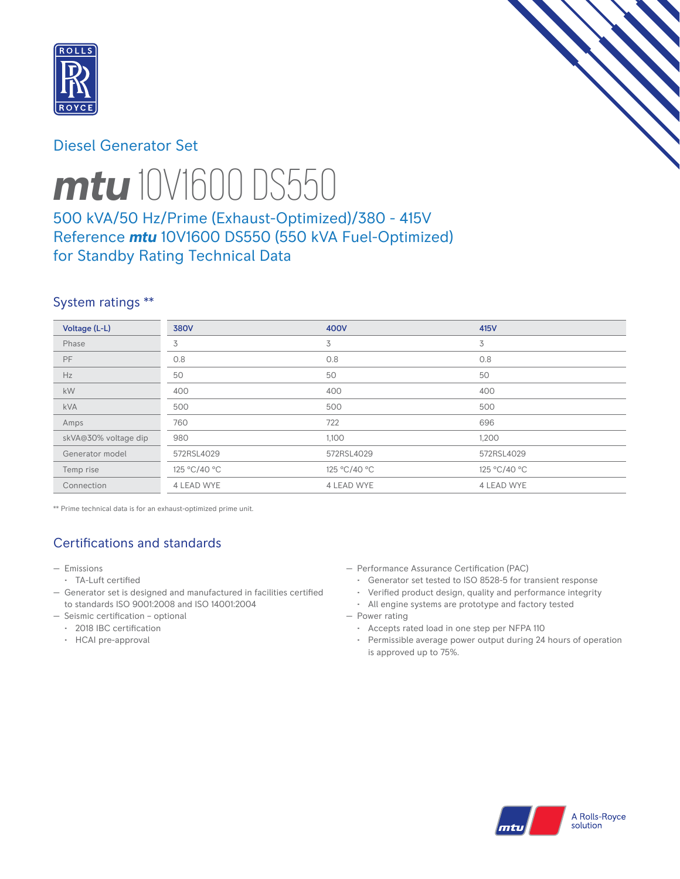

# Diesel Generator Set



# *mtu* 10V1600 DS550

# 500 kVA/50 Hz/Prime (Exhaust-Optimized)/380 - 415V Reference *mtu* 10V1600 DS550 (550 kVA Fuel-Optimized) for Standby Rating Technical Data

## System ratings \*\*

| Voltage (L-L)        | <b>380V</b>  | 400V              | 415V         |
|----------------------|--------------|-------------------|--------------|
| Phase                | 3            | 3                 | 3            |
| PF                   | 0.8          | 0.8               | 0.8          |
| Hz                   | 50           | 50                | 50           |
| kW                   | 400          | 400               | 400          |
| <b>kVA</b>           | 500          | 500               | 500          |
| Amps                 | 760          | 722               | 696          |
| skVA@30% voltage dip | 980          | 1,100             | 1,200        |
| Generator model      | 572RSL4029   | 572RSL4029        | 572RSL4029   |
| Temp rise            | 125 °C/40 °C | 125 °C/40 °C      | 125 °C/40 °C |
| Connection           | 4 LEAD WYE   | <b>4 LEAD WYE</b> | 4 LEAD WYE   |

\*\* Prime technical data is for an exhaust-optimized prime unit.

# Certifications and standards

- Emissions
- TA-Luft certified
- Generator set is designed and manufactured in facilities certified to standards ISO 9001:2008 and ISO 14001:2004
- Seismic certification optional
	- 2018 IBC certification
	- HCAI pre-approval
- Performance Assurance Certification (PAC)
	- Generator set tested to ISO 8528-5 for transient response
	- Verified product design, quality and performance integrity
- All engine systems are prototype and factory tested — Power rating
	- Accepts rated load in one step per NFPA 110
	- Permissible average power output during 24 hours of operation is approved up to 75%.

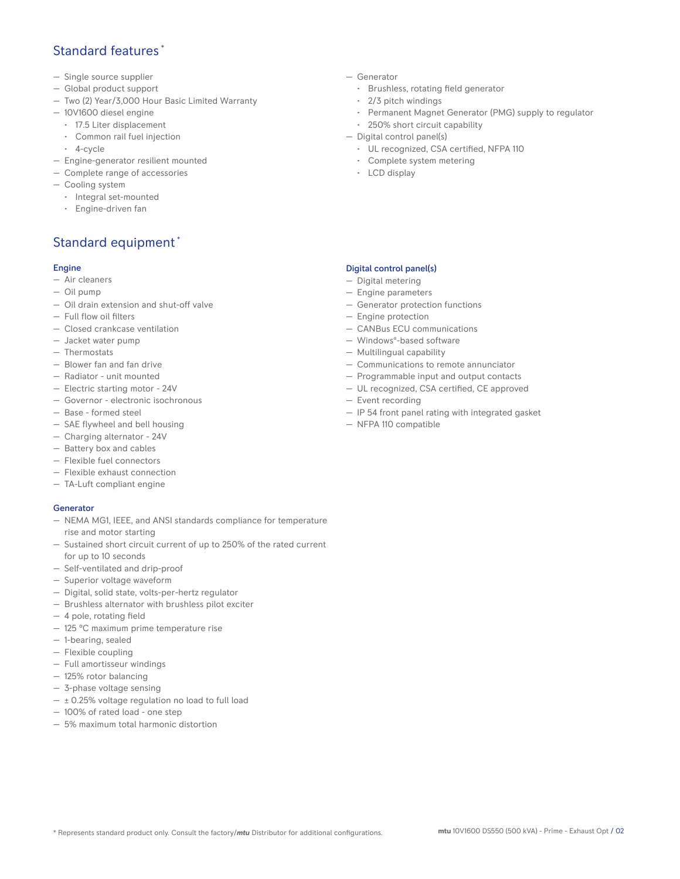# Standard features \*

- Single source supplier
- Global product support
- Two (2) Year/3,000 Hour Basic Limited Warranty
- 10V1600 diesel engine
	- 17.5 Liter displacement
	- Common rail fuel injection
	- 4-cycle
- Engine-generator resilient mounted
- Complete range of accessories
- Cooling system
- Integral set-mounted
	- Engine-driven fan

# Standard equipment \*

### Engine

- Air cleaners
- Oil pump
- Oil drain extension and shut-off valve
- Full flow oil filters
- Closed crankcase ventilation
- Jacket water pump
- Thermostats
- Blower fan and fan drive
- Radiator unit mounted
- Electric starting motor 24V
- Governor electronic isochronous
- Base formed steel
- SAE flywheel and bell housing
- Charging alternator 24V
- Battery box and cables
- Flexible fuel connectors
- Flexible exhaust connection
- TA-Luft compliant engine

#### **Generator**

- NEMA MG1, IEEE, and ANSI standards compliance for temperature rise and motor starting
- Sustained short circuit current of up to 250% of the rated current for up to 10 seconds
- Self-ventilated and drip-proof
- Superior voltage waveform
- Digital, solid state, volts-per-hertz regulator
- Brushless alternator with brushless pilot exciter
- 4 pole, rotating field
- 125 °C maximum prime temperature rise
- 1-bearing, sealed
- Flexible coupling
- Full amortisseur windings
- 125% rotor balancing
- 3-phase voltage sensing
- $\pm$  0.25% voltage regulation no load to full load
- 100% of rated load one step
- 5% maximum total harmonic distortion
- Generator
	- Brushless, rotating field generator
	- 2/3 pitch windings
	- Permanent Magnet Generator (PMG) supply to regulator
- 250% short circuit capability
- Digital control panel(s)
	- UL recognized, CSA certified, NFPA 110
	- Complete system metering
	- LCD display

## Digital control panel(s)

- Digital metering
- Engine parameters
- Generator protection functions
- Engine protection
- CANBus ECU communications
- Windows®-based software
- Multilingual capability
- Communications to remote annunciator
- Programmable input and output contacts
- UL recognized, CSA certified, CE approved
- Event recording
- IP 54 front panel rating with integrated gasket
- NFPA 110 compatible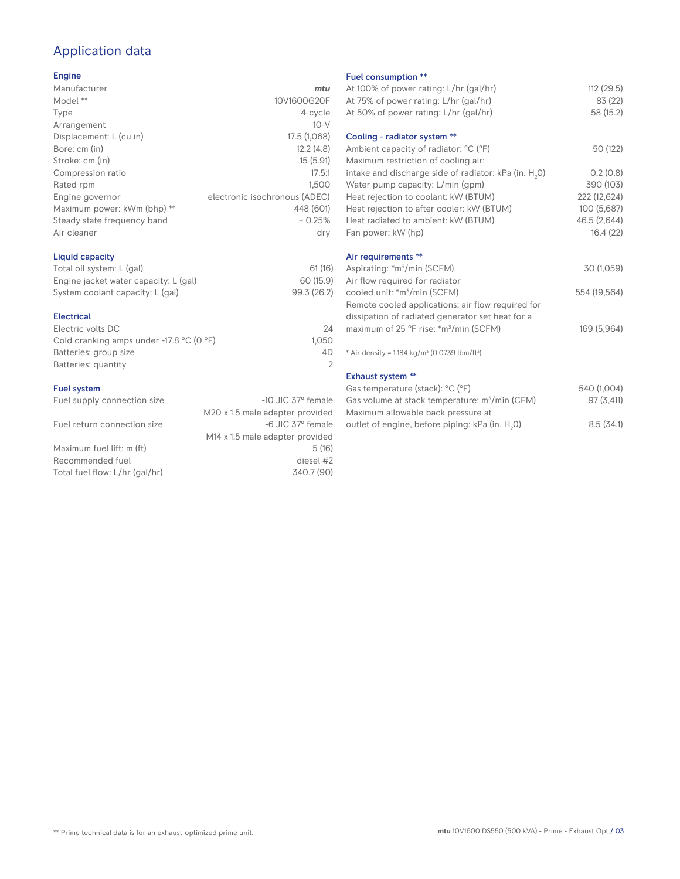# Application data

## Engine

| mtu                           |
|-------------------------------|
| 10V1600G20F                   |
| 4-cycle                       |
| $10-V$                        |
| 17.5 (1,068)                  |
| 12.2(4.8)                     |
| 15(5.91)                      |
| 17.5:1                        |
| 1.500                         |
| electronic isochronous (ADEC) |
| 448 (601)                     |
| ± 0.25%                       |
| dry                           |
|                               |

## Liquid capacity

| Total oil system: L (gal)             | 61(16)      |
|---------------------------------------|-------------|
| Engine jacket water capacity: L (gal) | 60 (15.9)   |
| System coolant capacity: L (gal)      | 99.3 (26.2) |

#### Electrical

| 24    |
|-------|
| 1.050 |
| 4D.   |
|       |
|       |

## Fuel system

| Fuel supply connection size    | $-10$ JIC 37 $\degree$ female               |
|--------------------------------|---------------------------------------------|
|                                | M20 x 1.5 male adapter provided             |
| Fuel return connection size    | -6 JIC 37° female                           |
|                                | M <sub>14</sub> x 1.5 male adapter provided |
| Maximum fuel lift: m (ft)      | 5(16)                                       |
| Recommended fuel               | diesel #2                                   |
| Total fuel flow: L/hr (gal/hr) | 340.7 (90)                                  |
|                                |                                             |

#### Fuel consumption \*\*

| r det consumption<br>At 100% of power rating: L/hr (gal/hr)          | 112 (29.5)   |
|----------------------------------------------------------------------|--------------|
| At 75% of power rating: L/hr (gal/hr)                                | 83 (22)      |
| At 50% of power rating: L/hr (gal/hr)                                | 58 (15.2)    |
| Cooling - radiator system **                                         |              |
| Ambient capacity of radiator: °C (°F)                                | 50 (122)     |
| Maximum restriction of cooling air:                                  |              |
| intake and discharge side of radiator: kPa (in. H <sub>2</sub> O)    | 0.2(0.8)     |
| Water pump capacity: L/min (gpm)                                     | 390 (103)    |
| Heat rejection to coolant: kW (BTUM)                                 | 222 (12,624) |
| Heat rejection to after cooler: kW (BTUM)                            | 100 (5,687)  |
| Heat radiated to ambient: kW (BTUM)                                  | 46.5 (2,644) |
| Fan power: kW (hp)                                                   | 16.4(22)     |
| Air requirements **                                                  |              |
| Aspirating: *m <sup>3</sup> /min (SCFM)                              | 30 (1,059)   |
| Air flow required for radiator                                       |              |
| cooled unit: *m <sup>3</sup> /min (SCFM)                             | 554 (19,564) |
| Remote cooled applications; air flow required for                    |              |
| dissipation of radiated generator set heat for a                     |              |
| maximum of 25 °F rise: *m <sup>3</sup> /min (SCFM)                   | 169 (5,964)  |
| * Air density = $1.184 \text{ kg/m}^3$ (0.0739 lbm/ft <sup>3</sup> ) |              |
| Exhaust system **                                                    |              |
| Gas temperature (stack): °C (°F)                                     | 540 (1,004)  |
| Gas volume at stack temperature: m <sup>3</sup> /min (CFM)           | 97 (3,411)   |
|                                                                      |              |

| Gas volume at stack temperature: m <sup>3</sup> /min (CFM) | 97(3,411) |
|------------------------------------------------------------|-----------|
| Maximum allowable back pressure at                         |           |
| outlet of engine, before piping: kPa (in. H.O)             | 8.5(34.1) |